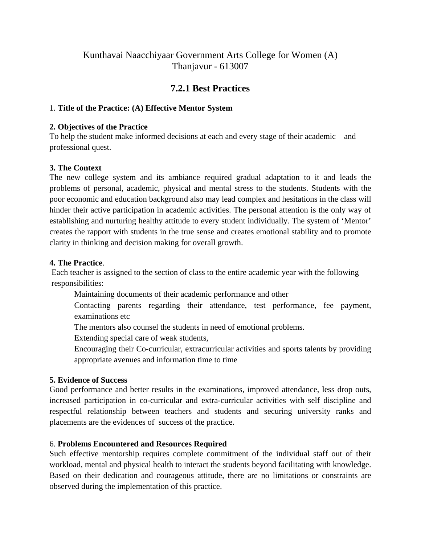# Kunthavai Naacchiyaar Government Arts College for Women (A) Thanjavur - 613007

# **7.2.1 Best Practices**

## 1. **Title of the Practice: (A) Effective Mentor System**

#### **2. Objectives of the Practice**

To help the student make informed decisions at each and every stage of their academic and professional quest.

## **3. The Context**

The new college system and its ambiance required gradual adaptation to it and leads the problems of personal, academic, physical and mental stress to the students. Students with the poor economic and education background also may lead complex and hesitations in the class will hinder their active participation in academic activities. The personal attention is the only way of establishing and nurturing healthy attitude to every student individually. The system of 'Mentor' creates the rapport with students in the true sense and creates emotional stability and to promote clarity in thinking and decision making for overall growth.

#### **4. The Practice**.

 Each teacher is assigned to the section of class to the entire academic year with the following responsibilities:

Maintaining documents of their academic performance and other

Contacting parents regarding their attendance, test performance, fee payment, examinations etc

The mentors also counsel the students in need of emotional problems.

Extending special care of weak students,

Encouraging their Co-curricular, extracurricular activities and sports talents by providing appropriate avenues and information time to time

#### **5. Evidence of Success**

Good performance and better results in the examinations, improved attendance, less drop outs, increased participation in co-curricular and extra-curricular activities with self discipline and respectful relationship between teachers and students and securing university ranks and placements are the evidences of success of the practice.

## 6. **Problems Encountered and Resources Required**

Such effective mentorship requires complete commitment of the individual staff out of their workload, mental and physical health to interact the students beyond facilitating with knowledge. Based on their dedication and courageous attitude, there are no limitations or constraints are observed during the implementation of this practice.